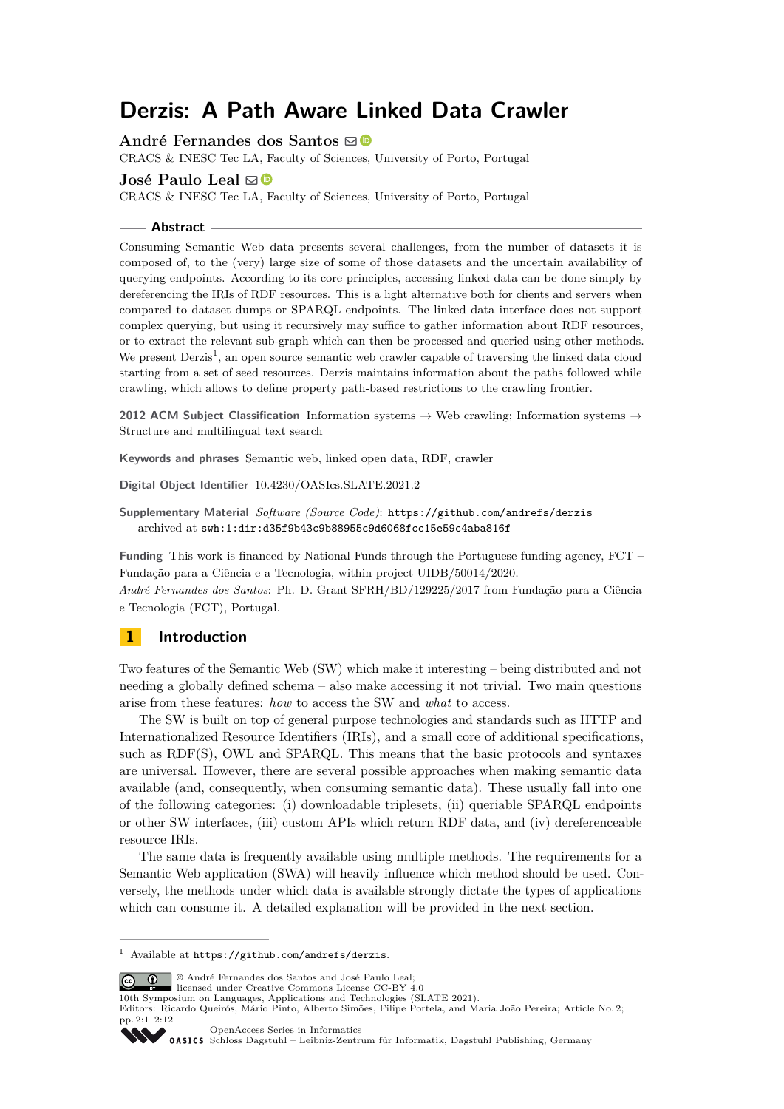# **Derzis: A Path Aware Linked Data Crawler**

**André Fernandes dos Santos** ⊠<sup>■</sup>

CRACS & INESC Tec LA, Faculty of Sciences, University of Porto, Portugal

#### **José Paulo Leal** ⊠<sup>®</sup>

CRACS & INESC Tec LA, Faculty of Sciences, University of Porto, Portugal

#### **Abstract**

Consuming Semantic Web data presents several challenges, from the number of datasets it is composed of, to the (very) large size of some of those datasets and the uncertain availability of querying endpoints. According to its core principles, accessing linked data can be done simply by dereferencing the IRIs of RDF resources. This is a light alternative both for clients and servers when compared to dataset dumps or SPARQL endpoints. The linked data interface does not support complex querying, but using it recursively may suffice to gather information about RDF resources, or to extract the relevant sub-graph which can then be processed and queried using other methods. We present Derzis<sup>[1](#page-0-0)</sup>, an open source semantic web crawler capable of traversing the linked data cloud starting from a set of seed resources. Derzis maintains information about the paths followed while crawling, which allows to define property path-based restrictions to the crawling frontier.

**2012 ACM Subject Classification** Information systems → Web crawling; Information systems → Structure and multilingual text search

**Keywords and phrases** Semantic web, linked open data, RDF, crawler

**Digital Object Identifier** [10.4230/OASIcs.SLATE.2021.2](https://doi.org/10.4230/OASIcs.SLATE.2021.2)

**Supplementary Material** *Software (Source Code)*: <https://github.com/andrefs/derzis> archived at [swh:1:dir:d35f9b43c9b88955c9d6068fcc15e59c4aba816f](https://archive.softwareheritage.org/swh:1:dir:d35f9b43c9b88955c9d6068fcc15e59c4aba816f;origin=https://github.com/andrefs/derzis;visit=swh:1:snp:9a23986b09f8d4d3e122718d299cebd323934f55;anchor=swh:1:rev:b735226ae5281132295cffd958274039b8111d9d)

**Funding** This work is financed by National Funds through the Portuguese funding agency, FCT – Fundação para a Ciência e a Tecnologia, within project UIDB/50014/2020.

*André Fernandes dos Santos*: Ph. D. Grant SFRH/BD/129225/2017 from Fundação para a Ciência e Tecnologia (FCT), Portugal.

# **1 Introduction**

Two features of the Semantic Web (SW) which make it interesting – being distributed and not needing a globally defined schema – also make accessing it not trivial. Two main questions arise from these features: *how* to access the SW and *what* to access.

The SW is built on top of general purpose technologies and standards such as HTTP and Internationalized Resource Identifiers (IRIs), and a small core of additional specifications, such as RDF(S), OWL and SPARQL. This means that the basic protocols and syntaxes are universal. However, there are several possible approaches when making semantic data available (and, consequently, when consuming semantic data). These usually fall into one of the following categories: (i) downloadable triplesets, (ii) queriable SPARQL endpoints or other SW interfaces, (iii) custom APIs which return RDF data, and (iv) dereferenceable resource IRIs.

The same data is frequently available using multiple methods. The requirements for a Semantic Web application (SWA) will heavily influence which method should be used. Conversely, the methods under which data is available strongly dictate the types of applications which can consume it. A detailed explanation will be provided in the next section.

© André Fernandes dos Santos and José Paulo Leal;  $\boxed{6}$   $\boxed{0}$ 

licensed under Creative Commons License CC-BY 4.0

10th Symposium on Languages, Applications and Technologies (SLATE 2021).

Editors: Ricardo Queirós, Mário Pinto, Alberto Simões, Filipe Portela, and Maria João Pereira; Article No. 2;



[OpenAccess Series in Informatics](https://www.dagstuhl.de/oasics/) SCHLOSS DELAND DASICS [Schloss Dagstuhl – Leibniz-Zentrum für Informatik, Dagstuhl Publishing, Germany](https://www.dagstuhl.de)

<span id="page-0-0"></span> $^1\,$  Available at  $\texttt{https://github.com/andrefs/derzis}.$  $\texttt{https://github.com/andrefs/derzis}.$  $\texttt{https://github.com/andrefs/derzis}.$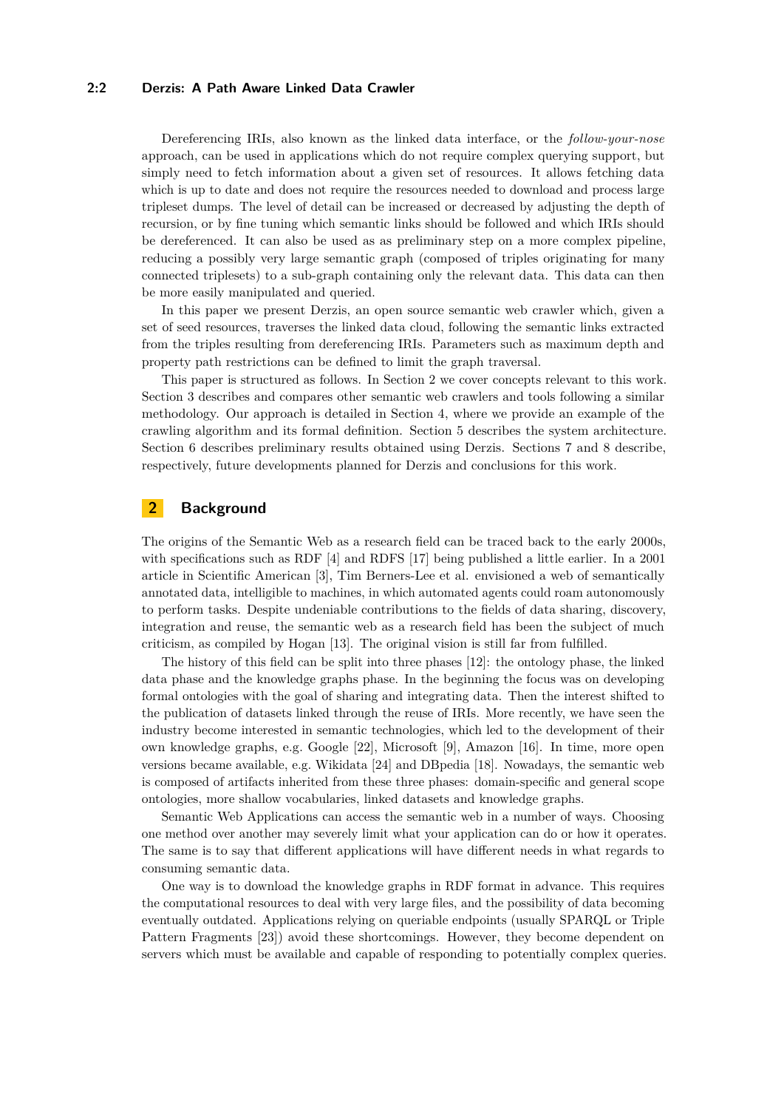#### **2:2 Derzis: A Path Aware Linked Data Crawler**

Dereferencing IRIs, also known as the linked data interface, or the *follow-your-nose* approach, can be used in applications which do not require complex querying support, but simply need to fetch information about a given set of resources. It allows fetching data which is up to date and does not require the resources needed to download and process large tripleset dumps. The level of detail can be increased or decreased by adjusting the depth of recursion, or by fine tuning which semantic links should be followed and which IRIs should be dereferenced. It can also be used as as preliminary step on a more complex pipeline, reducing a possibly very large semantic graph (composed of triples originating for many connected triplesets) to a sub-graph containing only the relevant data. This data can then be more easily manipulated and queried.

In this paper we present Derzis, an open source semantic web crawler which, given a set of seed resources, traverses the linked data cloud, following the semantic links extracted from the triples resulting from dereferencing IRIs. Parameters such as maximum depth and property path restrictions can be defined to limit the graph traversal.

This paper is structured as follows. In Section [2](#page-1-0) we cover concepts relevant to this work. Section [3](#page-3-0) describes and compares other semantic web crawlers and tools following a similar methodology. Our approach is detailed in Section [4,](#page-3-1) where we provide an example of the crawling algorithm and its formal definition. Section [5](#page-8-0) describes the system architecture. Section [6](#page-9-0) describes preliminary results obtained using Derzis. Sections [7](#page-10-0) and [8](#page-10-1) describe, respectively, future developments planned for Derzis and conclusions for this work.

# <span id="page-1-0"></span>**2 Background**

The origins of the Semantic Web as a research field can be traced back to the early 2000s, with specifications such as RDF [\[4\]](#page-10-2) and RDFS [\[17\]](#page-11-0) being published a little earlier. In a 2001 article in Scientific American [\[3\]](#page-10-3), Tim Berners-Lee et al. envisioned a web of semantically annotated data, intelligible to machines, in which automated agents could roam autonomously to perform tasks. Despite undeniable contributions to the fields of data sharing, discovery, integration and reuse, the semantic web as a research field has been the subject of much criticism, as compiled by Hogan [\[13\]](#page-11-1). The original vision is still far from fulfilled.

The history of this field can be split into three phases [\[12\]](#page-11-2): the ontology phase, the linked data phase and the knowledge graphs phase. In the beginning the focus was on developing formal ontologies with the goal of sharing and integrating data. Then the interest shifted to the publication of datasets linked through the reuse of IRIs. More recently, we have seen the industry become interested in semantic technologies, which led to the development of their own knowledge graphs, e.g. Google [\[22\]](#page-11-3), Microsoft [\[9\]](#page-11-4), Amazon [\[16\]](#page-11-5). In time, more open versions became available, e.g. Wikidata [\[24\]](#page-11-6) and DBpedia [\[18\]](#page-11-7). Nowadays, the semantic web is composed of artifacts inherited from these three phases: domain-specific and general scope ontologies, more shallow vocabularies, linked datasets and knowledge graphs.

Semantic Web Applications can access the semantic web in a number of ways. Choosing one method over another may severely limit what your application can do or how it operates. The same is to say that different applications will have different needs in what regards to consuming semantic data.

One way is to download the knowledge graphs in RDF format in advance. This requires the computational resources to deal with very large files, and the possibility of data becoming eventually outdated. Applications relying on queriable endpoints (usually SPARQL or Triple Pattern Fragments [\[23\]](#page-11-8)) avoid these shortcomings. However, they become dependent on servers which must be available and capable of responding to potentially complex queries.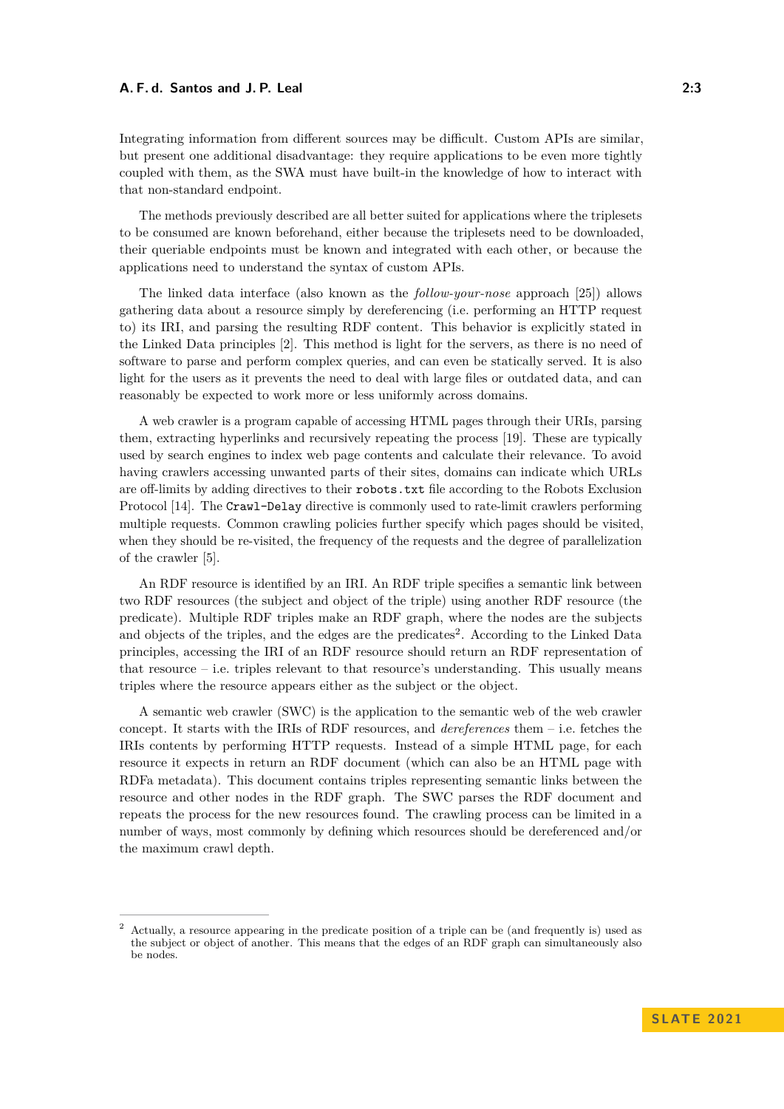#### **A. F. d. Santos and J. P. Leal 2:3**

Integrating information from different sources may be difficult. Custom APIs are similar, but present one additional disadvantage: they require applications to be even more tightly coupled with them, as the SWA must have built-in the knowledge of how to interact with that non-standard endpoint.

The methods previously described are all better suited for applications where the triplesets to be consumed are known beforehand, either because the triplesets need to be downloaded, their queriable endpoints must be known and integrated with each other, or because the applications need to understand the syntax of custom APIs.

The linked data interface (also known as the *follow-your-nose* approach [\[25\]](#page-11-9)) allows gathering data about a resource simply by dereferencing (i.e. performing an HTTP request to) its IRI, and parsing the resulting RDF content. This behavior is explicitly stated in the Linked Data principles [\[2\]](#page-10-4). This method is light for the servers, as there is no need of software to parse and perform complex queries, and can even be statically served. It is also light for the users as it prevents the need to deal with large files or outdated data, and can reasonably be expected to work more or less uniformly across domains.

A web crawler is a program capable of accessing HTML pages through their URIs, parsing them, extracting hyperlinks and recursively repeating the process [\[19\]](#page-11-10). These are typically used by search engines to index web page contents and calculate their relevance. To avoid having crawlers accessing unwanted parts of their sites, domains can indicate which URLs are off-limits by adding directives to their robots.txt file according to the Robots Exclusion Protocol [\[14\]](#page-11-11). The Crawl-Delay directive is commonly used to rate-limit crawlers performing multiple requests. Common crawling policies further specify which pages should be visited, when they should be re-visited, the frequency of the requests and the degree of parallelization of the crawler [\[5\]](#page-11-12).

An RDF resource is identified by an IRI. An RDF triple specifies a semantic link between two RDF resources (the subject and object of the triple) using another RDF resource (the predicate). Multiple RDF triples make an RDF graph, where the nodes are the subjects and objects of the triples, and the edges are the predicates<sup>[2](#page-2-0)</sup>. According to the Linked Data principles, accessing the IRI of an RDF resource should return an RDF representation of that resource  $-$  i.e. triples relevant to that resource's understanding. This usually means triples where the resource appears either as the subject or the object.

A semantic web crawler (SWC) is the application to the semantic web of the web crawler concept. It starts with the IRIs of RDF resources, and *dereferences* them – i.e. fetches the IRIs contents by performing HTTP requests. Instead of a simple HTML page, for each resource it expects in return an RDF document (which can also be an HTML page with RDFa metadata). This document contains triples representing semantic links between the resource and other nodes in the RDF graph. The SWC parses the RDF document and repeats the process for the new resources found. The crawling process can be limited in a number of ways, most commonly by defining which resources should be dereferenced and/or the maximum crawl depth.

<span id="page-2-0"></span><sup>2</sup> Actually, a resource appearing in the predicate position of a triple can be (and frequently is) used as the subject or object of another. This means that the edges of an RDF graph can simultaneously also be nodes.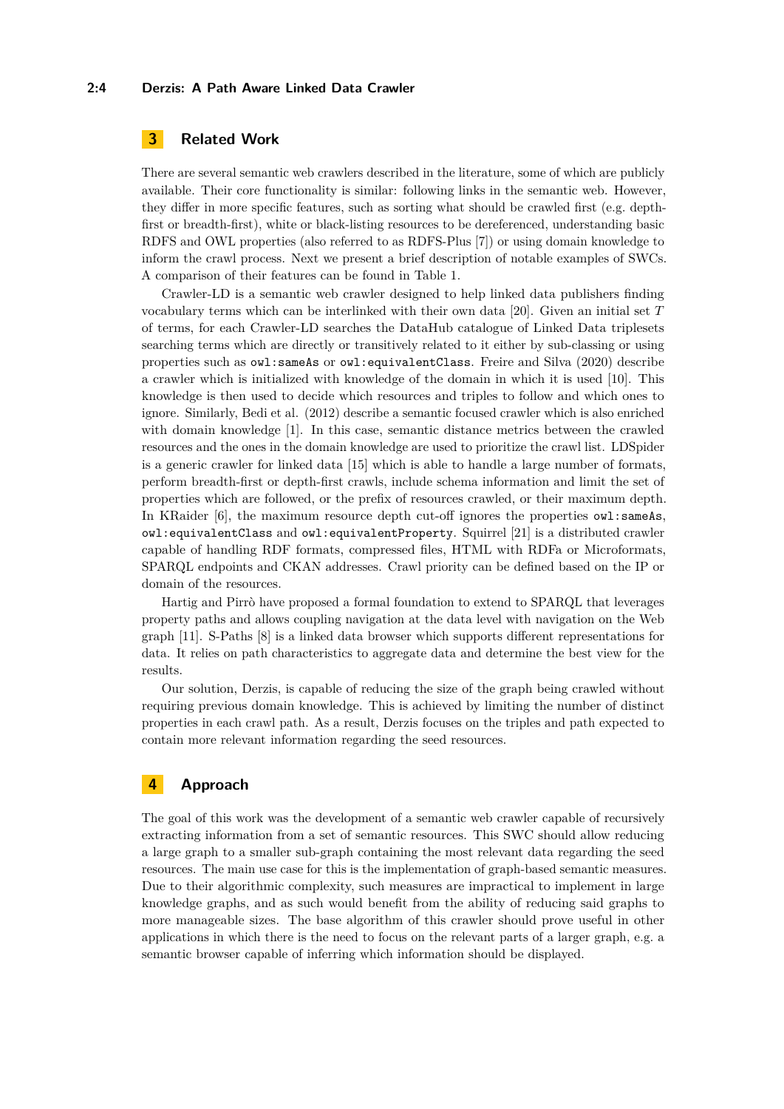#### **2:4 Derzis: A Path Aware Linked Data Crawler**

# <span id="page-3-0"></span>**3 Related Work**

There are several semantic web crawlers described in the literature, some of which are publicly available. Their core functionality is similar: following links in the semantic web. However, they differ in more specific features, such as sorting what should be crawled first (e.g. depthfirst or breadth-first), white or black-listing resources to be dereferenced, understanding basic RDFS and OWL properties (also referred to as RDFS-Plus [\[7\]](#page-11-13)) or using domain knowledge to inform the crawl process. Next we present a brief description of notable examples of SWCs. A comparison of their features can be found in Table [1.](#page-4-0)

Crawler-LD is a semantic web crawler designed to help linked data publishers finding vocabulary terms which can be interlinked with their own data [\[20\]](#page-11-14). Given an initial set *T* of terms, for each Crawler-LD searches the DataHub catalogue of Linked Data triplesets searching terms which are directly or transitively related to it either by sub-classing or using properties such as owl:sameAs or owl:equivalentClass. Freire and Silva (2020) describe a crawler which is initialized with knowledge of the domain in which it is used [\[10\]](#page-11-15). This knowledge is then used to decide which resources and triples to follow and which ones to ignore. Similarly, Bedi et al. (2012) describe a semantic focused crawler which is also enriched with domain knowledge [\[1\]](#page-10-5). In this case, semantic distance metrics between the crawled resources and the ones in the domain knowledge are used to prioritize the crawl list. LDSpider is a generic crawler for linked data [\[15\]](#page-11-16) which is able to handle a large number of formats, perform breadth-first or depth-first crawls, include schema information and limit the set of properties which are followed, or the prefix of resources crawled, or their maximum depth. In KRaider [\[6\]](#page-11-17), the maximum resource depth cut-off ignores the properties owl: sameAs, owl:equivalentClass and owl:equivalentProperty. Squirrel [\[21\]](#page-11-18) is a distributed crawler capable of handling RDF formats, compressed files, HTML with RDFa or Microformats, SPARQL endpoints and CKAN addresses. Crawl priority can be defined based on the IP or domain of the resources.

Hartig and Pirrò have proposed a formal foundation to extend to SPARQL that leverages property paths and allows coupling navigation at the data level with navigation on the Web graph [\[11\]](#page-11-19). S-Paths [\[8\]](#page-11-20) is a linked data browser which supports different representations for data. It relies on path characteristics to aggregate data and determine the best view for the results.

Our solution, Derzis, is capable of reducing the size of the graph being crawled without requiring previous domain knowledge. This is achieved by limiting the number of distinct properties in each crawl path. As a result, Derzis focuses on the triples and path expected to contain more relevant information regarding the seed resources.

# <span id="page-3-1"></span>**4 Approach**

The goal of this work was the development of a semantic web crawler capable of recursively extracting information from a set of semantic resources. This SWC should allow reducing a large graph to a smaller sub-graph containing the most relevant data regarding the seed resources. The main use case for this is the implementation of graph-based semantic measures. Due to their algorithmic complexity, such measures are impractical to implement in large knowledge graphs, and as such would benefit from the ability of reducing said graphs to more manageable sizes. The base algorithm of this crawler should prove useful in other applications in which there is the need to focus on the relevant parts of a larger graph, e.g. a semantic browser capable of inferring which information should be displayed.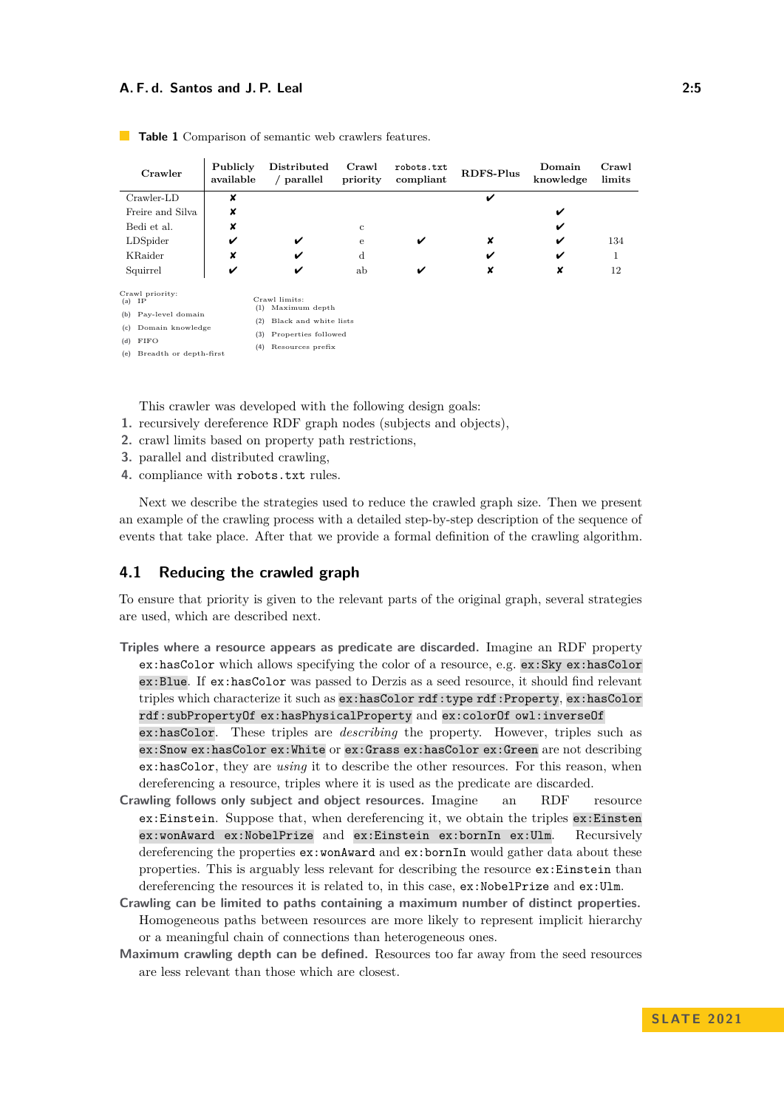#### **A. F. d. Santos and J. P. Leal 2:5**

| Crawler                                                                                           | Publicly<br>available | Distributed<br>/ parallel                                                      | Crawl<br>priority | robots.txt<br>compliant | <b>RDFS-Plus</b> | Domain<br>knowledge | Crawl<br>limits |
|---------------------------------------------------------------------------------------------------|-----------------------|--------------------------------------------------------------------------------|-------------------|-------------------------|------------------|---------------------|-----------------|
| $Crawler-LD$                                                                                      | ×                     |                                                                                |                   |                         | ✓                |                     |                 |
| Freire and Silva                                                                                  | ×                     |                                                                                |                   |                         |                  | ✓                   |                 |
| Bedi et al.                                                                                       | ×                     |                                                                                | c                 |                         |                  | ✓                   |                 |
| LDSpider                                                                                          | V                     | V                                                                              | e                 | V                       | x                | ✓                   | 134             |
| KRaider                                                                                           | ×                     | ✓                                                                              | $\rm d$           |                         | ✓                | ✓                   | 1               |
| Squirrel                                                                                          | V                     | ✓                                                                              | ab                | V                       | ×                | x                   | 12              |
| Crawl priority:<br>ΙP<br>(a)<br>Pay-level domain<br>(b)<br>Domain knowledge<br>(c)<br>FIFO<br>(d) | (1)<br>(2)<br>(3)     | Crawl limits:<br>Maximum depth<br>Black and white lists<br>Properties followed |                   |                         |                  |                     |                 |
| (e) Breadth or depth-first                                                                        | (4)                   | Resources prefix                                                               |                   |                         |                  |                     |                 |

<span id="page-4-0"></span>**Table 1** Comparison of semantic web crawlers features.

<span id="page-4-9"></span><span id="page-4-8"></span><span id="page-4-7"></span><span id="page-4-6"></span><span id="page-4-5"></span><span id="page-4-4"></span><span id="page-4-3"></span><span id="page-4-2"></span><span id="page-4-1"></span>This crawler was developed with the following design goals:

- **1.** recursively dereference RDF graph nodes (subjects and objects),
- **2.** crawl limits based on property path restrictions,
- **3.** parallel and distributed crawling,
- **4.** compliance with robots.txt rules.

Next we describe the strategies used to reduce the crawled graph size. Then we present an example of the crawling process with a detailed step-by-step description of the sequence of events that take place. After that we provide a formal definition of the crawling algorithm.

# **4.1 Reducing the crawled graph**

To ensure that priority is given to the relevant parts of the original graph, several strategies are used, which are described next.

- **Triples where a resource appears as predicate are discarded.** Imagine an RDF property ex:hasColor which allows specifying the color of a resource, e.g. ex:Sky ex:hasColor ex:Blue. If ex:hasColor was passed to Derzis as a seed resource, it should find relevant triples which characterize it such as ex:hasColor rdf:type rdf:Property, ex:hasColor rdf:subPropertyOf ex:hasPhysicalProperty and ex:colorOf owl:inverseOf ex:hasColor. These triples are *describing* the property. However, triples such as ex:Snow ex:hasColor ex:White or ex:Grass ex:hasColor ex:Green are not describing ex:hasColor, they are *using* it to describe the other resources. For this reason, when dereferencing a resource, triples where it is used as the predicate are discarded.
- **Crawling follows only subject and object resources.** Imagine an RDF resource ex:Einstein. Suppose that, when dereferencing it, we obtain the triples ex:Einsten ex:wonAward ex:NobelPrize and ex:Einstein ex:bornIn ex:Ulm. Recursively dereferencing the properties  $ex:$ wonAward and  $ex:$ bornIn would gather data about these properties. This is arguably less relevant for describing the resource ex:Einstein than dereferencing the resources it is related to, in this case, ex:NobelPrize and ex:Ulm.
- **Crawling can be limited to paths containing a maximum number of distinct properties.** Homogeneous paths between resources are more likely to represent implicit hierarchy or a meaningful chain of connections than heterogeneous ones.
- **Maximum crawling depth can be defined.** Resources too far away from the seed resources are less relevant than those which are closest.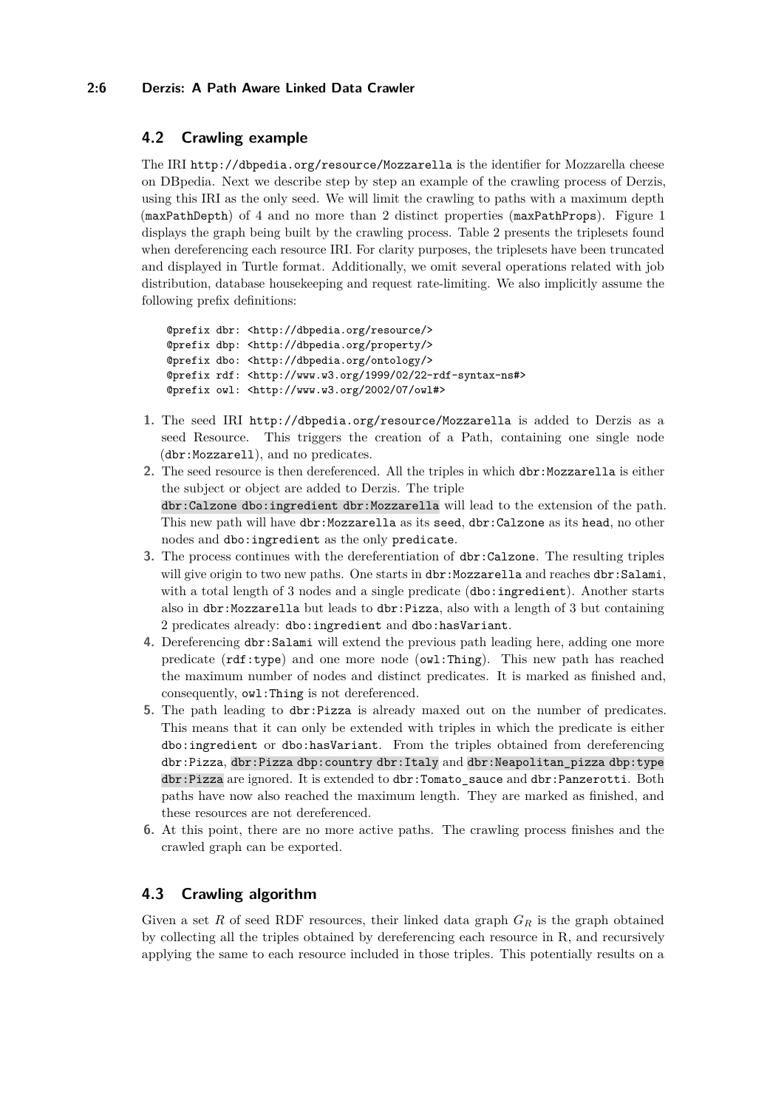### **2:6 Derzis: A Path Aware Linked Data Crawler**

# **4.2 Crawling example**

The IRI <http://dbpedia.org/resource/Mozzarella> is the identifier for Mozzarella cheese on DBpedia. Next we describe step by step an example of the crawling process of Derzis, using this IRI as the only seed. We will limit the crawling to paths with a maximum depth (maxPathDepth) of 4 and no more than 2 distinct properties (maxPathProps). Figure [1](#page-6-0) displays the graph being built by the crawling process. Table [2](#page-6-1) presents the triplesets found when dereferencing each resource IRI. For clarity purposes, the triplesets have been truncated and displayed in Turtle format. Additionally, we omit several operations related with job distribution, database housekeeping and request rate-limiting. We also implicitly assume the following prefix definitions:

```
@prefix dbr: <http://dbpedia.org/resource/>
@prefix dbp: <http://dbpedia.org/property/>
@prefix dbo: <http://dbpedia.org/ontology/>
@prefix rdf: <http://www.w3.org/1999/02/22-rdf-syntax-ns#>
@prefix owl: <http://www.w3.org/2002/07/owl#>
```
- **1.** The seed IRI <http://dbpedia.org/resource/Mozzarella> is added to Derzis as a seed Resource. This triggers the creation of a Path, containing one single node (dbr:Mozzarell), and no predicates.
- **2.** The seed resource is then dereferenced. All the triples in which dbr:Mozzarella is either the subject or object are added to Derzis. The triple dbr:Calzone dbo:ingredient dbr:Mozzarella will lead to the extension of the path. This new path will have dbr:Mozzarella as its seed, dbr:Calzone as its head, no other nodes and dbo:ingredient as the only predicate.
- **3.** The process continues with the dereferentiation of dbr:Calzone. The resulting triples will give origin to two new paths. One starts in dbr:Mozzarella and reaches dbr:Salami, with a total length of 3 nodes and a single predicate  $(dbo:ingredient)$ . Another starts also in dbr:Mozzarella but leads to dbr:Pizza, also with a length of 3 but containing 2 predicates already: dbo:ingredient and dbo:hasVariant.
- **4.** Dereferencing dbr:Salami will extend the previous path leading here, adding one more predicate (rdf:type) and one more node (owl:Thing). This new path has reached the maximum number of nodes and distinct predicates. It is marked as finished and, consequently, owl:Thing is not dereferenced.
- **5.** The path leading to dbr:Pizza is already maxed out on the number of predicates. This means that it can only be extended with triples in which the predicate is either dbo:ingredient or dbo:hasVariant. From the triples obtained from dereferencing dbr:Pizza, dbr:Pizza dbp:country dbr:Italy and dbr:Neapolitan\_pizza dbp:type dbr:Pizza are ignored. It is extended to dbr:Tomato\_sauce and dbr:Panzerotti. Both paths have now also reached the maximum length. They are marked as finished, and these resources are not dereferenced.
- **6.** At this point, there are no more active paths. The crawling process finishes and the crawled graph can be exported.

# **4.3 Crawling algorithm**

Given a set *R* of seed RDF resources, their linked data graph *G<sup>R</sup>* is the graph obtained by collecting all the triples obtained by dereferencing each resource in R, and recursively applying the same to each resource included in those triples. This potentially results on a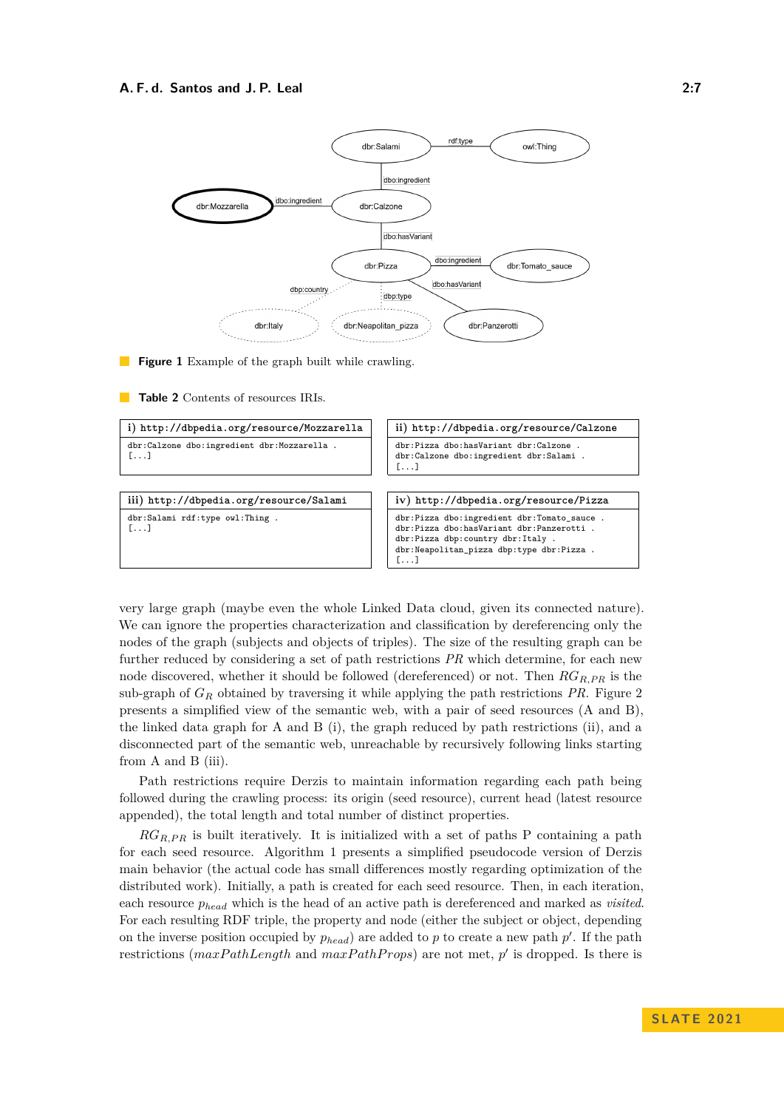<span id="page-6-0"></span>

**Figure 1** Example of the graph built while crawling.

<span id="page-6-1"></span>**Table 2** Contents of resources IRIs.



very large graph (maybe even the whole Linked Data cloud, given its connected nature). We can ignore the properties characterization and classification by dereferencing only the nodes of the graph (subjects and objects of triples). The size of the resulting graph can be further reduced by considering a set of path restrictions *PR* which determine, for each new node discovered, whether it should be followed (dereferenced) or not. Then *RGR,PR* is the sub-graph of *G<sup>R</sup>* obtained by traversing it while applying the path restrictions *PR*. Figure [2](#page-7-0) presents a simplified view of the semantic web, with a pair of seed resources (A and B), the linked data graph for A and B (i), the graph reduced by path restrictions (ii), and a disconnected part of the semantic web, unreachable by recursively following links starting from A and B (iii).

Path restrictions require Derzis to maintain information regarding each path being followed during the crawling process: its origin (seed resource), current head (latest resource appended), the total length and total number of distinct properties.

 $RG_{R,PR}$  is built iteratively. It is initialized with a set of paths P containing a path for each seed resource. Algorithm [1](#page-7-1) presents a simplified pseudocode version of Derzis main behavior (the actual code has small differences mostly regarding optimization of the distributed work). Initially, a path is created for each seed resource. Then, in each iteration, each resource *p<sup>h</sup>ead* which is the head of an active path is dereferenced and marked as *visited*. For each resulting RDF triple, the property and node (either the subject or object, depending on the inverse position occupied by  $p_{head}$  are added to  $p$  to create a new path  $p'$ . If the path restrictions ( $maxPathLength$  and  $maxPathProps$ ) are not met,  $p'$  is dropped. Is there is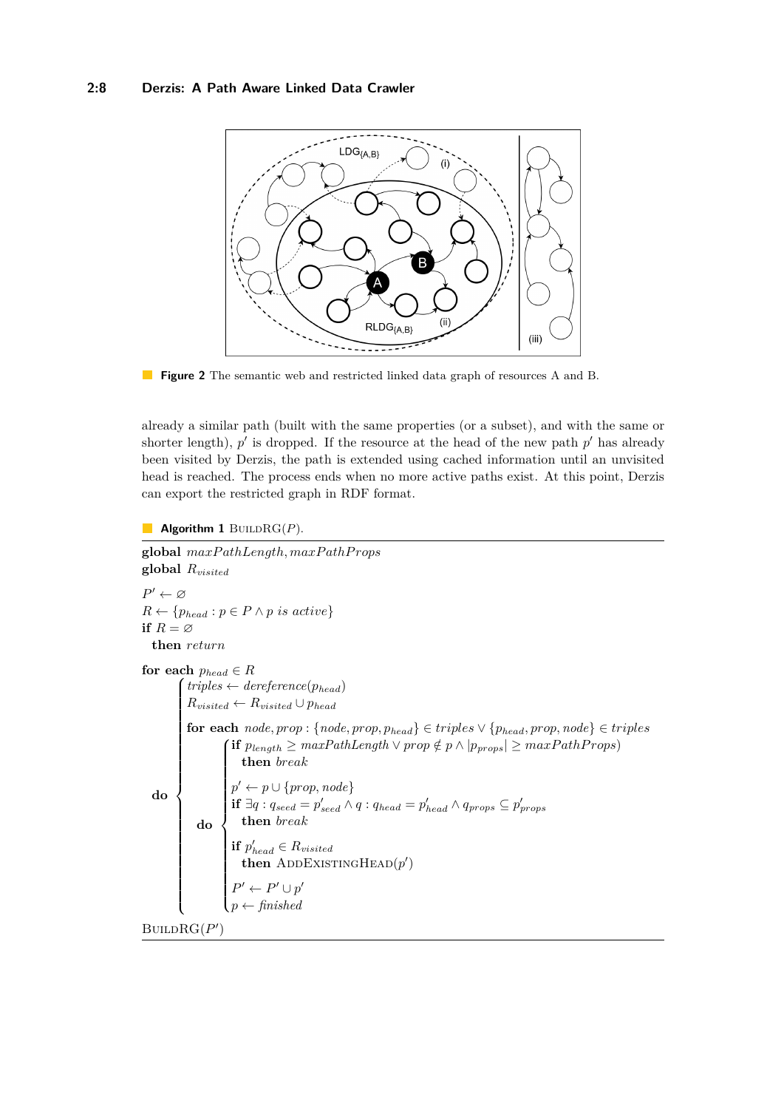<span id="page-7-0"></span>

**Figure 2** The semantic web and restricted linked data graph of resources A and B.

already a similar path (built with the same properties (or a subset), and with the same or shorter length),  $p'$  is dropped. If the resource at the head of the new path  $p'$  has already been visited by Derzis, the path is extended using cached information until an unvisited head is reached. The process ends when no more active paths exist. At this point, Derzis can export the restricted graph in RDF format.

<span id="page-7-1"></span>**Algorithm 1** BUILD $RG(P)$ .

```
global maxP athLength, maxP athP rops
global Rvisited
P' \leftarrow \varnothingR \leftarrow \{p_{head} : p \in P \land p \text{ is active}\}if R = \emptysetthen return
for each p_{head} \in Rdo
         f(\text{triples} \leftarrow \text{degree(}p_{\text{head}})\begin{array}{c} \hline \ \ \hline \ \ \end{array}
           R_{visited} \leftarrow R_{visited} \cup p_{head}
              do
                    \textbf{if } p_{\text{length}} \geq \text{maxPathLength} \vee \text{prop} \notin p \wedge |p_{\text{props}}| \geq \text{maxPathProps}\begin{array}{c} \hline \end{array}\begin{bmatrix} \phantom{-} \end{bmatrix}then break
                       p' \leftarrow p \cup \{prop, node\}if \exists q : q_{seed} = p'_{seed} \land q : q_{head} = p'_{head} \land q_{props} \subseteq p'_{props}then break
                       if p'_{head} \in R_{visited}then ADDEXISTINGHEAD(p')P' \leftarrow P' \cup p'\leftarrow finished
BUILDRG(P')
```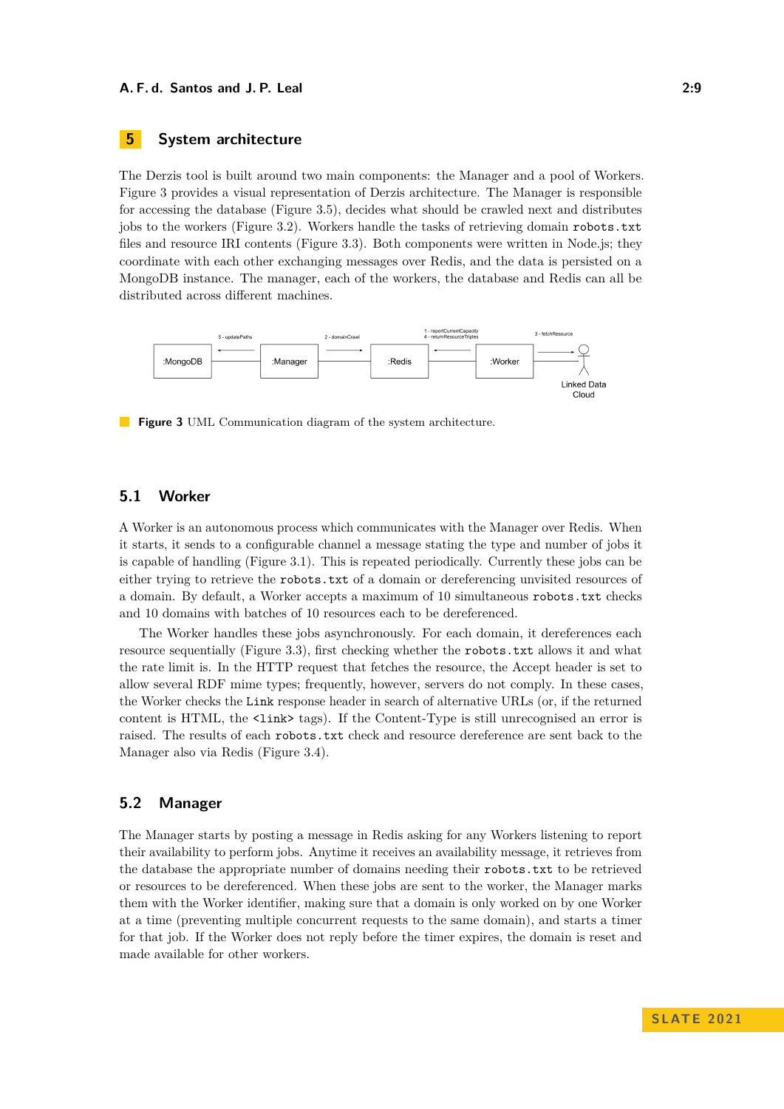# <span id="page-8-0"></span>**5 System architecture**

The Derzis tool is built around two main components: the Manager and a pool of Workers. Figure [3](#page-8-1) provides a visual representation of Derzis architecture. The Manager is responsible for accessing the database (Figure [3.](#page-8-1)5), decides what should be crawled next and distributes jobs to the workers (Figure [3.](#page-8-1)2). Workers handle the tasks of retrieving domain robots.txt files and resource IRI contents (Figure [3.](#page-8-1)3). Both components were written in Node.js; they coordinate with each other exchanging messages over Redis, and the data is persisted on a MongoDB instance. The manager, each of the workers, the database and Redis can all be distributed across different machines.

<span id="page-8-1"></span>

**Figure 3** UML Communication diagram of the system architecture.

### **5.1 Worker**

A Worker is an autonomous process which communicates with the Manager over Redis. When it starts, it sends to a configurable channel a message stating the type and number of jobs it is capable of handling (Figure [3.](#page-8-1)1). This is repeated periodically. Currently these jobs can be either trying to retrieve the robots.txt of a domain or dereferencing unvisited resources of a domain. By default, a Worker accepts a maximum of 10 simultaneous robots.txt checks and 10 domains with batches of 10 resources each to be dereferenced.

The Worker handles these jobs asynchronously. For each domain, it dereferences each resource sequentially (Figure [3.](#page-8-1)3), first checking whether the robots.txt allows it and what the rate limit is. In the HTTP request that fetches the resource, the Accept header is set to allow several RDF mime types; frequently, however, servers do not comply. In these cases, the Worker checks the Link response header in search of alternative URLs (or, if the returned content is HTML, the <link> tags). If the Content-Type is still unrecognised an error is raised. The results of each robots.txt check and resource dereference are sent back to the Manager also via Redis (Figure [3.](#page-8-1)4).

# **5.2 Manager**

The Manager starts by posting a message in Redis asking for any Workers listening to report their availability to perform jobs. Anytime it receives an availability message, it retrieves from the database the appropriate number of domains needing their robots.txt to be retrieved or resources to be dereferenced. When these jobs are sent to the worker, the Manager marks them with the Worker identifier, making sure that a domain is only worked on by one Worker at a time (preventing multiple concurrent requests to the same domain), and starts a timer for that job. If the Worker does not reply before the timer expires, the domain is reset and made available for other workers.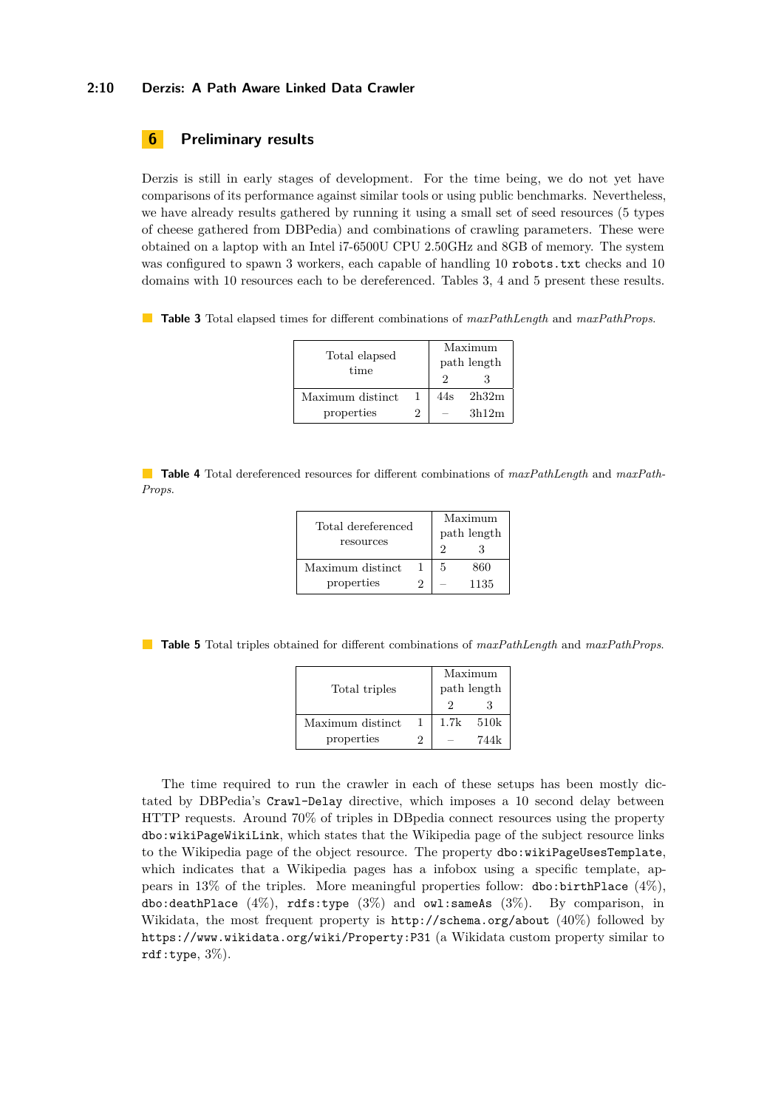#### **2:10 Derzis: A Path Aware Linked Data Crawler**

### <span id="page-9-0"></span>**6 Preliminary results**

Derzis is still in early stages of development. For the time being, we do not yet have comparisons of its performance against similar tools or using public benchmarks. Nevertheless, we have already results gathered by running it using a small set of seed resources (5 types of cheese gathered from DBPedia) and combinations of crawling parameters. These were obtained on a laptop with an Intel i7-6500U CPU 2.50GHz and 8GB of memory. The system was configured to spawn 3 workers, each capable of handling 10 robots.txt checks and 10 domains with 10 resources each to be dereferenced. Tables [3,](#page-9-1) [4](#page-9-2) and [5](#page-9-3) present these results.

<span id="page-9-1"></span>**Table 3** Total elapsed times for different combinations of *maxPathLength* and *maxPathProps*.

| Total elapsed<br>time |    | Maximum<br>path length |       |
|-----------------------|----|------------------------|-------|
|                       |    |                        |       |
| Maximum distinct      | 1  | 44s                    | 2h32m |
| properties            | ') |                        | 3h12m |

<span id="page-9-2"></span>**Table 4** Total dereferenced resources for different combinations of *maxPathLength* and *maxPath-Props*.

| Total dereferenced<br>resources | Maximum<br>path length |   |      |
|---------------------------------|------------------------|---|------|
|                                 |                        |   |      |
| Maximum distinct                |                        | 5 | 860  |
| properties                      | ٠,                     |   | 1135 |

<span id="page-9-3"></span>**Table 5** Total triples obtained for different combinations of *maxPathLength* and *maxPathProps*.

|                  | Maximum     |      |      |
|------------------|-------------|------|------|
| Total triples    | path length |      |      |
|                  |             |      |      |
| Maximum distinct |             | 1.7k | 510k |
| properties       | '2          |      | 744k |

The time required to run the crawler in each of these setups has been mostly dictated by DBPedia's Crawl-Delay directive, which imposes a 10 second delay between HTTP requests. Around 70% of triples in DBpedia connect resources using the property dbo:wikiPageWikiLink, which states that the Wikipedia page of the subject resource links to the Wikipedia page of the object resource. The property dbo:wikiPageUsesTemplate, which indicates that a Wikipedia pages has a infobox using a specific template, appears in 13% of the triples. More meaningful properties follow: dbo:birthPlace  $(4\%)$ , dbo:deathPlace  $(4\%)$ , rdfs:type  $(3\%)$  and owl:sameAs  $(3\%)$ . By comparison, in Wikidata, the most frequent property is  $http://schema.org/about/40%)$  $http://schema.org/about/40%)$  followed by <https://www.wikidata.org/wiki/Property:P31> (a Wikidata custom property similar to rdf:type,  $3\%$ ).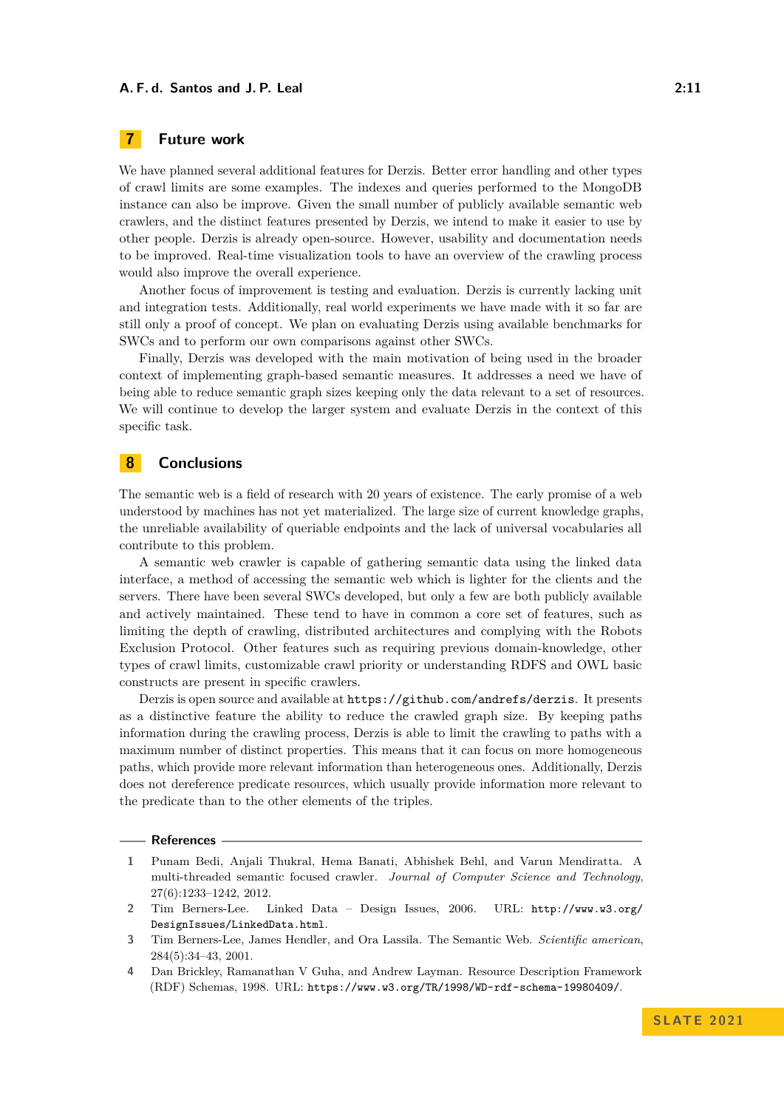### <span id="page-10-0"></span>**7 Future work**

We have planned several additional features for Derzis. Better error handling and other types of crawl limits are some examples. The indexes and queries performed to the MongoDB instance can also be improve. Given the small number of publicly available semantic web crawlers, and the distinct features presented by Derzis, we intend to make it easier to use by other people. Derzis is already open-source. However, usability and documentation needs to be improved. Real-time visualization tools to have an overview of the crawling process would also improve the overall experience.

Another focus of improvement is testing and evaluation. Derzis is currently lacking unit and integration tests. Additionally, real world experiments we have made with it so far are still only a proof of concept. We plan on evaluating Derzis using available benchmarks for SWCs and to perform our own comparisons against other SWCs.

Finally, Derzis was developed with the main motivation of being used in the broader context of implementing graph-based semantic measures. It addresses a need we have of being able to reduce semantic graph sizes keeping only the data relevant to a set of resources. We will continue to develop the larger system and evaluate Derzis in the context of this specific task.

# <span id="page-10-1"></span>**8 Conclusions**

The semantic web is a field of research with 20 years of existence. The early promise of a web understood by machines has not yet materialized. The large size of current knowledge graphs, the unreliable availability of queriable endpoints and the lack of universal vocabularies all contribute to this problem.

A semantic web crawler is capable of gathering semantic data using the linked data interface, a method of accessing the semantic web which is lighter for the clients and the servers. There have been several SWCs developed, but only a few are both publicly available and actively maintained. These tend to have in common a core set of features, such as limiting the depth of crawling, distributed architectures and complying with the Robots Exclusion Protocol. Other features such as requiring previous domain-knowledge, other types of crawl limits, customizable crawl priority or understanding RDFS and OWL basic constructs are present in specific crawlers.

Derzis is open source and available at <https://github.com/andrefs/derzis>. It presents as a distinctive feature the ability to reduce the crawled graph size. By keeping paths information during the crawling process, Derzis is able to limit the crawling to paths with a maximum number of distinct properties. This means that it can focus on more homogeneous paths, which provide more relevant information than heterogeneous ones. Additionally, Derzis does not dereference predicate resources, which usually provide information more relevant to the predicate than to the other elements of the triples.

#### **References**

- <span id="page-10-5"></span>**1** Punam Bedi, Anjali Thukral, Hema Banati, Abhishek Behl, and Varun Mendiratta. A multi-threaded semantic focused crawler. *Journal of Computer Science and Technology*, 27(6):1233–1242, 2012.
- <span id="page-10-4"></span>**2** Tim Berners-Lee. Linked Data – Design Issues, 2006. URL: [http://www.w3.org/](http://www.w3.org/DesignIssues/LinkedData.html) [DesignIssues/LinkedData.html](http://www.w3.org/DesignIssues/LinkedData.html).
- <span id="page-10-3"></span>**3** Tim Berners-Lee, James Hendler, and Ora Lassila. The Semantic Web. *Scientific american*, 284(5):34–43, 2001.
- <span id="page-10-2"></span>**4** Dan Brickley, Ramanathan V Guha, and Andrew Layman. Resource Description Framework (RDF) Schemas, 1998. URL: <https://www.w3.org/TR/1998/WD-rdf-schema-19980409/>.